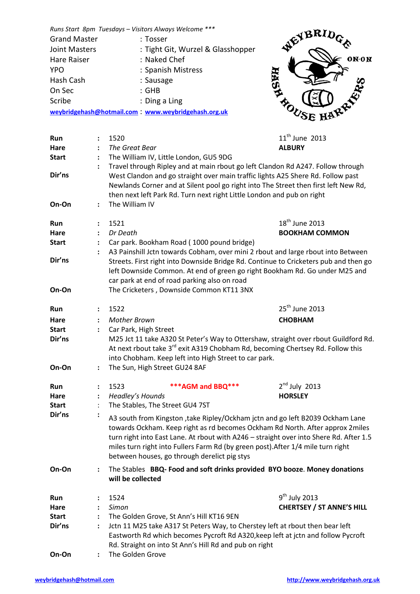*Runs Start 8pm Tuesdays – Visitors Always Welcome \*\*\** Grand Master : Tosser Joint Masters : Tight Git, Wurzel & Glasshopper Hare Raiser : Naked Chef YPO : Spanish Mistress Hash Cash : Sausage On Sec : GHB Scribe : Ding a Ling **[weybridgehash@hotmail.com](mailto:weybridgehash@hotmail.com)** : **[www.weybridgehash.org.uk](http://www.weybridgehash.org.uk/)**



| Run<br>Hare                           |                                        | 1520<br>The Great Bear                                                                                                                                                                                                                                                                                                                                                                        | $11^{th}$ June 2013<br><b>ALBURY</b>                          |
|---------------------------------------|----------------------------------------|-----------------------------------------------------------------------------------------------------------------------------------------------------------------------------------------------------------------------------------------------------------------------------------------------------------------------------------------------------------------------------------------------|---------------------------------------------------------------|
| <b>Start</b>                          | $\ddot{\cdot}$                         | The William IV, Little London, GU5 9DG                                                                                                                                                                                                                                                                                                                                                        |                                                               |
| Dir'ns<br>On-On                       | $\ddot{\phantom{a}}$                   | Travel through Ripley and at main rbout go left Clandon Rd A247. Follow through<br>West Clandon and go straight over main traffic lights A25 Shere Rd. Follow past<br>Newlands Corner and at Silent pool go right into The Street then first left New Rd,<br>then next left Park Rd. Turn next right Little London and pub on right<br>The William IV                                         |                                                               |
| Run<br>Hare<br><b>Start</b>           | :                                      | 1521<br>Dr Death<br>Car park. Bookham Road (1000 pound bridge)                                                                                                                                                                                                                                                                                                                                | 18 <sup>th</sup> June 2013<br><b>BOOKHAM COMMON</b>           |
| Dir'ns                                |                                        | A3 Painshill Jctn towards Cobham, over mini 2 rbout and large rbout into Between<br>Streets. First right into Downside Bridge Rd. Continue to Cricketers pub and then go<br>left Downside Common. At end of green go right Bookham Rd. Go under M25 and<br>car park at end of road parking also on road                                                                                       |                                                               |
| On-On                                 |                                        | The Cricketers, Downside Common KT11 3NX                                                                                                                                                                                                                                                                                                                                                      |                                                               |
| Run                                   | $\ddot{\phantom{a}}$                   | 1522                                                                                                                                                                                                                                                                                                                                                                                          | 25 <sup>th</sup> June 2013                                    |
| Hare<br><b>Start</b>                  | $\ddot{\cdot}$<br>$\ddot{\phantom{a}}$ | <b>Mother Brown</b><br>Car Park, High Street                                                                                                                                                                                                                                                                                                                                                  | <b>CHOBHAM</b>                                                |
| Dir'ns                                |                                        | M25 Jct 11 take A320 St Peter's Way to Ottershaw, straight over rbout Guildford Rd.<br>At next rbout take 3 <sup>rd</sup> exit A319 Chobham Rd, becoming Chertsey Rd. Follow this<br>into Chobham. Keep left into High Street to car park.                                                                                                                                                    |                                                               |
| On-On                                 | $\ddot{\phantom{a}}$                   | The Sun, High Street GU24 8AF                                                                                                                                                                                                                                                                                                                                                                 |                                                               |
| Run<br>Hare<br><b>Start</b>           | :<br>$\ddot{\cdot}$                    | *** AGM and BBQ***<br>1523<br>Headley's Hounds<br>The Stables, The Street GU4 7ST                                                                                                                                                                                                                                                                                                             | $2nd$ July 2013<br><b>HORSLEY</b>                             |
| Dir'ns                                | $\ddot{\cdot}$                         | A3 south from Kingston , take Ripley/Ockham jctn and go left B2039 Ockham Lane<br>towards Ockham. Keep right as rd becomes Ockham Rd North. After approx 2miles<br>turn right into East Lane. At rbout with A246 - straight over into Shere Rd. After 1.5<br>miles turn right into Fullers Farm Rd (by green post). After 1/4 mile turn right<br>between houses, go through derelict pig stys |                                                               |
| On-On                                 | $\ddot{\cdot}$                         | The Stables BBQ-Food and soft drinks provided BYO booze. Money donations<br>will be collected                                                                                                                                                                                                                                                                                                 |                                                               |
| Run<br>Hare<br><b>Start</b><br>Dir'ns |                                        | 1524<br>Simon<br>The Golden Grove, St Ann's Hill KT16 9EN<br>Jctn 11 M25 take A317 St Peters Way, to Cherstey left at rbout then bear left<br>Eastworth Rd which becomes Pycroft Rd A320, keep left at jctn and follow Pycroft<br>Rd. Straight on into St Ann's Hill Rd and pub on right                                                                                                      | 9 <sup>th</sup> July 2013<br><b>CHERTSEY / ST ANNE'S HILL</b> |

**On-On :** The Golden Grove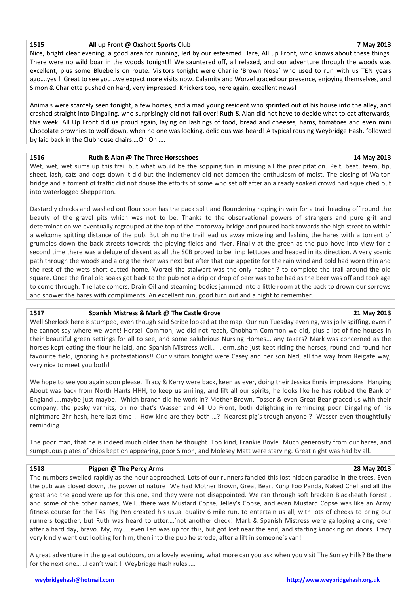### **1515 All up Front @ Oxshott Sports Club 7 May 2013**

Nice, bright clear evening, a good area for running, led by our esteemed Hare, All up Front, who knows about these things. There were no wild boar in the woods tonight!! We sauntered off, all relaxed, and our adventure through the woods was excellent, plus some Bluebells on route. Visitors tonight were Charlie 'Brown Nose' who used to run with us TEN years ago….yes ! Great to see you…we expect more visits now. Calamity and Worzel graced our presence, enjoying themselves, and Simon & Charlotte pushed on hard, very impressed. Knickers too, here again, excellent news!

Animals were scarcely seen tonight, a few horses, and a mad young resident who sprinted out of his house into the alley, and crashed straight into Dingaling, who surprisingly did not fall over! Ruth & Alan did not have to decide what to eat afterwards, this week. All Up Front did us proud again, laying on lashings of food, bread and cheeses, hams, tomatoes and even mini Chocolate brownies to wolf down, when no one was looking, delicious was heard! A typical rousing Weybridge Hash, followed by laid back in the Clubhouse chairs….On On…..

## **1516 Ruth & Alan @ The Three Horseshoes 14 May 2013**

Wet, wet, wet sums up this trail but what would be the sopping fun in missing all the precipitation. Pelt, beat, teem, tip, sheet, lash, cats and dogs down it did but the inclemency did not dampen the enthusiasm of moist. The closing of Walton bridge and a torrent of traffic did not douse the efforts of some who set off after an already soaked crowd had squelched out into waterlogged Shepperton.

Dastardly checks and washed out flour soon has the pack split and floundering hoping in vain for a trail heading off round the beauty of the gravel pits which was not to be. Thanks to the observational powers of strangers and pure grit and determination we eventually regrouped at the top of the motorway bridge and poured back towards the high street to within a welcome spitting distance of the pub. But oh no the trail lead us away mizzeling and lashing the hares with a torrent of grumbles down the back streets towards the playing fields and river. Finally at the green as the pub hove into view for a second time there was a deluge of dissent as all the SCB proved to be limp lettuces and headed in its direction. A very scenic path through the woods and along the river was next but after that our appetite for the rain wind and cold had worn thin and the rest of the wets short cutted home. Worzel the stalwart was the only hasher ? to complete the trail around the old square. Once the final old soaks got back to the pub not a drip or drop of beer was to be had as the beer was off and took age to come through. The late comers, Drain Oil and steaming bodies jammed into a little room at the back to drown our sorrows and shower the hares with compliments. An excellent run, good turn out and a night to remember.

# **1517 Spanish Mistress & Mark @ The Castle Grove 21 May 2013**

Well Sherlock here is stumped, even though said Scribe looked at the map. Our run Tuesday evening, was jolly spiffing, even if he cannot say where we went! Horsell Common, we did not reach, Chobham Common we did, plus a lot of fine houses in their beautiful green settings for all to see, and some salubrious Nursing Homes... any takers? Mark was concerned as the horses kept eating the flour he laid, and Spanish Mistress well… …erm..she just kept riding the horses, round and round her favourite field, ignoring his protestations!! Our visitors tonight were Casey and her son Ned, all the way from Reigate way, very nice to meet you both!

We hope to see you again soon please. Tracy & Kerry were back, keen as ever, doing their Jessica Ennis impressions! Hanging About was back from North Hants HHH, to keep us smiling, and lift all our spirits, he looks like he has robbed the Bank of England ….maybe just maybe. Which branch did he work in? Mother Brown, Tosser & even Great Bear graced us with their company, the pesky varmits, oh no that's Wasser and All Up Front, both delighting in reminding poor Dingaling of his nightmare 2hr hash, here last time ! How kind are they both …? Nearest pig's trough anyone ? Wasser even thoughtfully reminding

The poor man, that he is indeed much older than he thought. Too kind, Frankie Boyle. Much generosity from our hares, and sumptuous plates of chips kept on appearing, poor Simon, and Molesey Matt were starving. Great night was had by all.

## **1518 Pigpen @ The Percy Arms 28 May 2013**

The numbers swelled rapidly as the hour approached. Lots of our runners fancied this lost hidden paradise in the trees. Even the pub was closed down, the power of nature! We had Mother Brown, Great Bear, Kung Foo Panda, Naked Chef and all the great and the good were up for this one, and they were not disappointed. We ran through soft bracken Blackheath Forest , and some of the other names, Well…there was Mustard Copse, Jelley's Copse, and even Mustard Copse was like an Army fitness course for the TAs. Pig Pen created his usual quality 6 mile run, to entertain us all, with lots of checks to bring our runners together, but Ruth was heard to utter….'not another check! Mark & Spanish Mistress were galloping along, even after a hard day, bravo. My, my…..even Len was up for this, but got lost near the end, and starting knocking on doors. Tracy very kindly went out looking for him, then into the pub he strode, after a lift in someone's van!

A great adventure in the great outdoors, on a lovely evening, what more can you ask when you visit The Surrey Hills? Be there for the next one……I can't wait ! Weybridge Hash rules…..

### **weybridgehash@hotmail.com http://www.weybridgehash.org.uk**